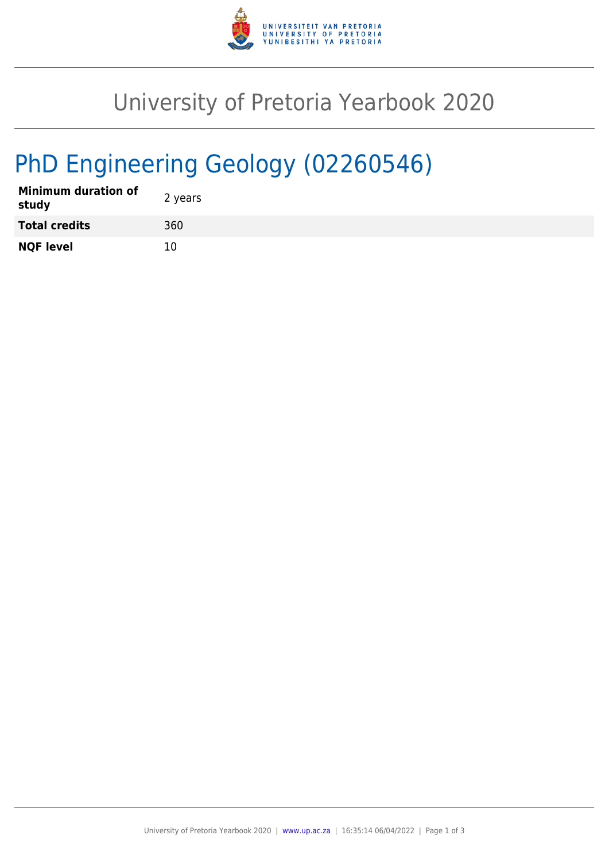

## University of Pretoria Yearbook 2020

# PhD Engineering Geology (02260546)

| <b>Minimum duration of</b><br>study | 2 years |
|-------------------------------------|---------|
| <b>Total credits</b>                | 360     |
| <b>NQF level</b>                    | 10      |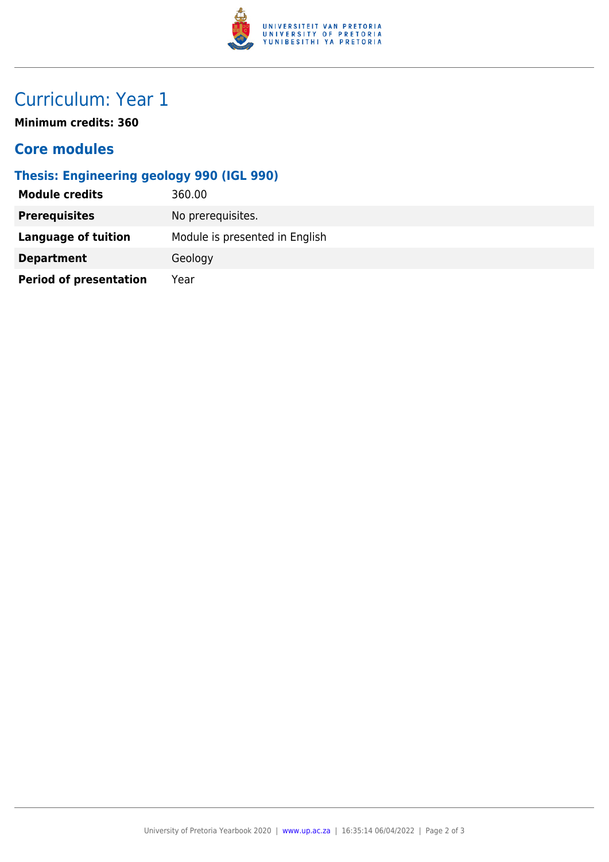

## Curriculum: Year 1

**Minimum credits: 360**

#### **Core modules**

#### **Thesis: Engineering geology 990 (IGL 990)**

| <b>Module credits</b>         | 360.00                         |  |
|-------------------------------|--------------------------------|--|
| <b>Prerequisites</b>          | No prerequisites.              |  |
| Language of tuition           | Module is presented in English |  |
| <b>Department</b>             | Geology                        |  |
| <b>Period of presentation</b> | Year                           |  |